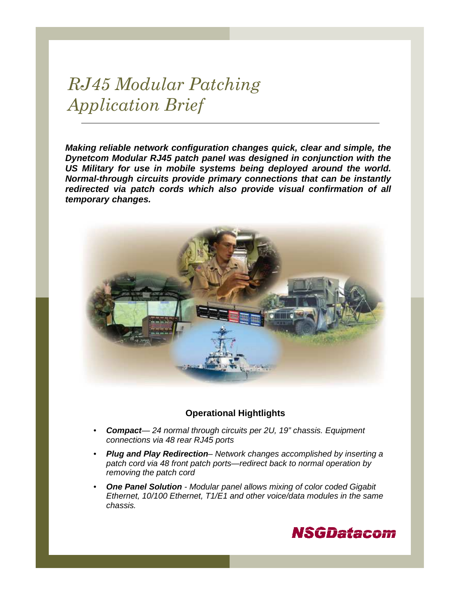# RJ45 Modular Patching Application Brief

**Making reliable network configuration changes quick, clear and simple, the Dynetcom Modular RJ45 patch panel was designed in conjunction with the US Military for use in mobile systems being deployed around the world. Normal-through circuits provide primary connections that can be instantly redirected via patch cords which also provide visual confirmation of all temporary changes.** 



### **Operational Hightlights**

- **Compact** 24 normal through circuits per 2U, 19" chassis. Equipment connections via 48 rear RJ45 ports
- **Plug and Play Redirection** Network changes accomplished by inserting a patch cord via 48 front patch ports—redirect back to normal operation by removing the patch cord
- **One Panel Solution** Modular panel allows mixing of color coded Gigabit Ethernet, 10/100 Ethernet, T1/E1 and other voice/data modules in the same chassis.

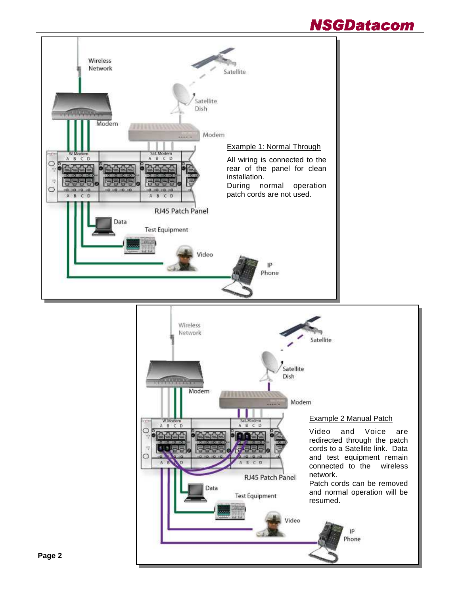## **NSGDatacom**

Phone

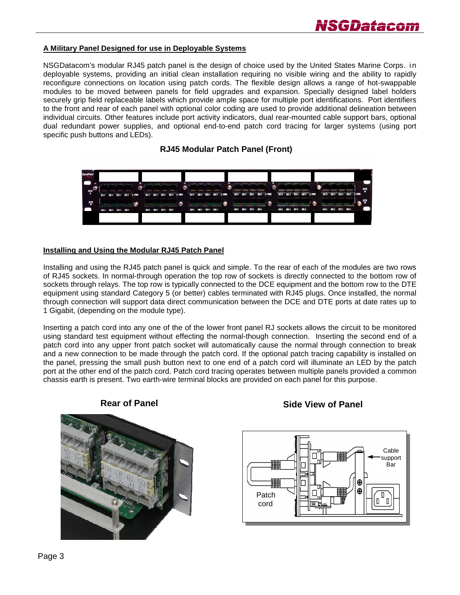

#### **A Military Panel Designed for use in Deployable Systems**

NSGDatacom's modular RJ45 patch panel is the design of choice used by the United States Marine Corps. in deployable systems, providing an initial clean installation requiring no visible wiring and the ability to rapidly reconfigure connections on location using patch cords. The flexible design allows a range of hot-swappable modules to be moved between panels for field upgrades and expansion. Specially designed label holders securely grip field replaceable labels which provide ample space for multiple port identifications. Port identifiers to the front and rear of each panel with optional color coding are used to provide additional delineation between individual circuits. Other features include port activity indicators, dual rear-mounted cable support bars, optional dual redundant power supplies, and optional end-to-end patch cord tracing for larger systems (using port specific push buttons and LEDs).

#### **RJ45 Modular Patch Panel (Front)**

| <b>DynaPatc</b> |                 |                                                 |   |                                                                                       |  |                                                                                                             |                           |                 |                                                                      |   |         |                                                           |         |                                                                                              |   |                     |                                                                                                                 |        |  |        |                                                  |                                                |       |            |
|-----------------|-----------------|-------------------------------------------------|---|---------------------------------------------------------------------------------------|--|-------------------------------------------------------------------------------------------------------------|---------------------------|-----------------|----------------------------------------------------------------------|---|---------|-----------------------------------------------------------|---------|----------------------------------------------------------------------------------------------|---|---------------------|-----------------------------------------------------------------------------------------------------------------|--------|--|--------|--------------------------------------------------|------------------------------------------------|-------|------------|
| DCE             | 01 02 03 04 PWR | AFTER AFTER AT CLARA<br>anno anno cinema cinema | e | <b>CARACTERARE LARGE DESCRIPTION</b><br>GOVERN CHANGE ANGELE COMPA<br>01 02 03 04 PWR |  |                                                                                                             | <b>SERVICES</b><br>$01 -$ |                 | SAND CREAR COMMUNICATIONS<br>critics comes recover a<br>02 03 04 PWR | υ | $01 -$  | "THEFT ! HOUSE THOUGHT THERE<br>$03 -$<br>02 <sup>n</sup> |         | 04 <sup>*</sup> <sup>*</sup> PWR                                                             | œ | <b>Common Lines</b> | <b>CONTRACTORES COMPANY IN EXPLAN</b><br>consider themselves themselves<br>$01 - 02 - 03 -$                     | $04 -$ |  | $02 -$ | <b>HARRY LIBRARY CARD FOR THE REAL</b><br>$03 -$ | Sonner, would hamme payone?<br>04 <sup>o</sup> | n PWR | DCE        |
| 먭               | 05m 06m 07m 08m | <b>Contract Contract Contract</b>               |   | of the control of the problem in the party of the problem.<br>05h 06h 07h 08h         |  | the control of the control of the control of the control of the control of the control of<br>$\blacksquare$ |                           | 05m 06m 07m 08m | stages and substitutions in the set                                  |   | 05m 06m |                                                           | 07m 08m | Chicagota prestress (1990), program (1991)<br>Steamers in the company's arrival and a series |   |                     | There were the ceres). Calculate  believes to<br>the parties of the property of the party of<br>05m 06m 07m 08m |        |  |        | antico, alla provincia<br>05m 06m 07m 08m        | provided money demonstratements                |       | <b>DTE</b> |
|                 |                 |                                                 |   |                                                                                       |  |                                                                                                             |                           |                 |                                                                      |   |         |                                                           |         |                                                                                              |   |                     |                                                                                                                 |        |  |        |                                                  |                                                |       |            |

#### **Installing and Using the Modular RJ45 Patch Panel**

Installing and using the RJ45 patch panel is quick and simple. To the rear of each of the modules are two rows of RJ45 sockets. In normal-through operation the top row of sockets is directly connected to the bottom row of sockets through relays. The top row is typically connected to the DCE equipment and the bottom row to the DTE equipment using standard Category 5 (or better) cables terminated with RJ45 plugs. Once installed, the normal through connection will support data direct communication between the DCE and DTE ports at date rates up to 1 Gigabit, (depending on the module type).

Inserting a patch cord into any one of the of the lower front panel RJ sockets allows the circuit to be monitored using standard test equipment without effecting the normal-though connection. Inserting the second end of a patch cord into any upper front patch socket will automatically cause the normal through connection to break and a new connection to be made through the patch cord. If the optional patch tracing capability is installed on the panel, pressing the small push button next to one end of a patch cord will illuminate an LED by the patch port at the other end of the patch cord. Patch cord tracing operates between multiple panels provided a common chassis earth is present. Two earth-wire terminal blocks are provided on each panel for this purpose.